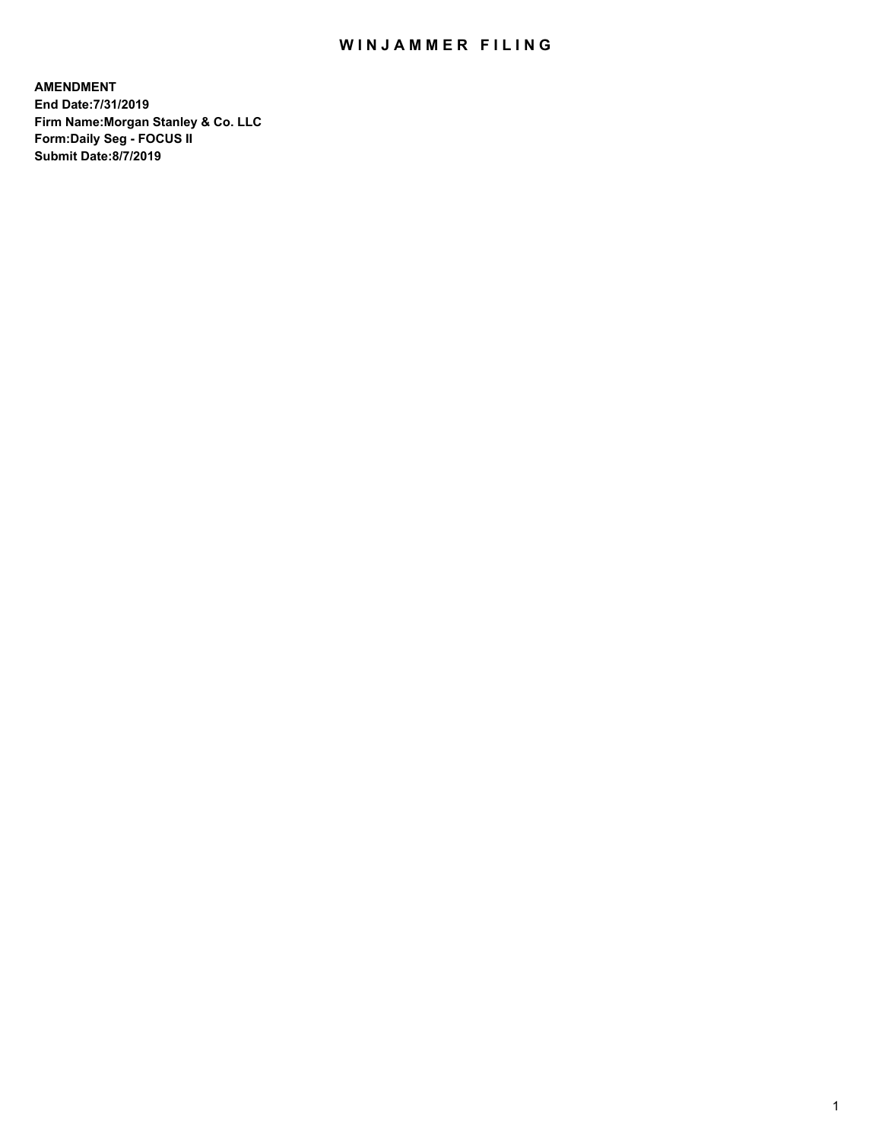## WIN JAMMER FILING

**AMENDMENT End Date:7/31/2019 Firm Name:Morgan Stanley & Co. LLC Form:Daily Seg - FOCUS II Submit Date:8/7/2019**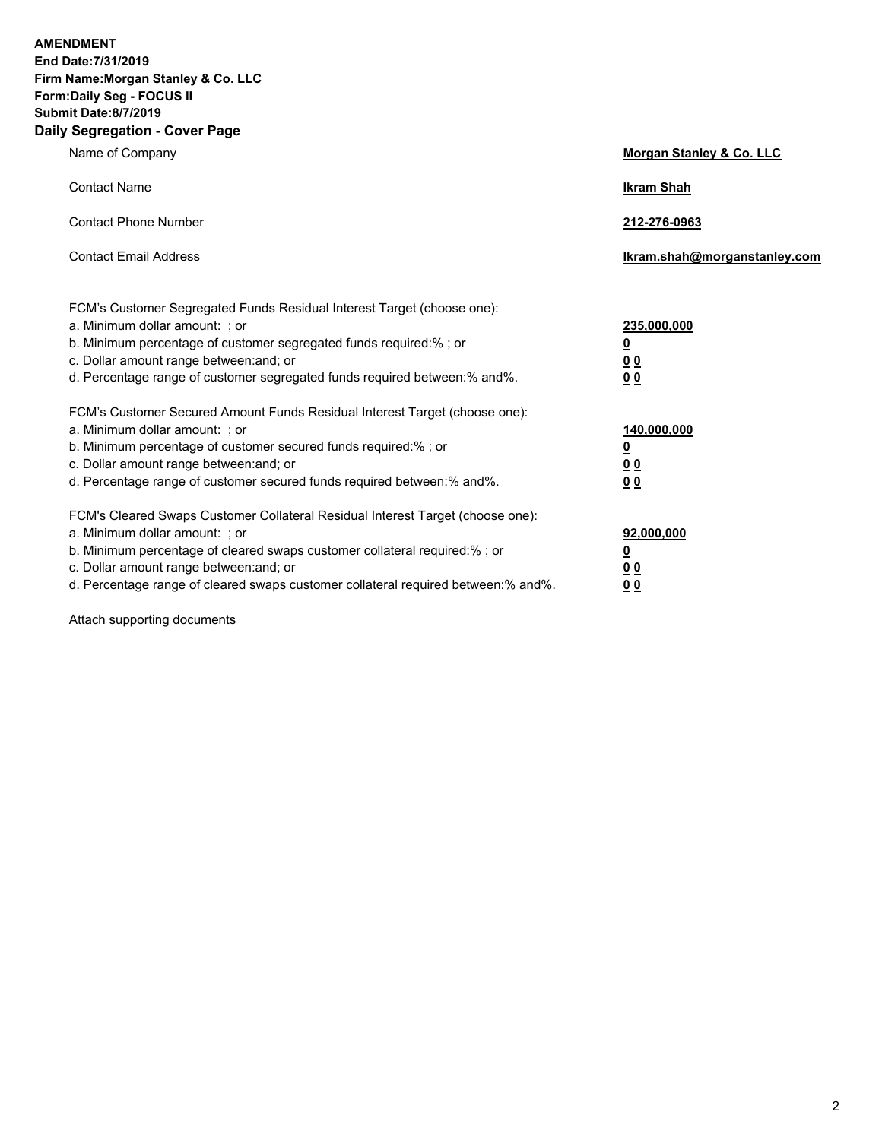**AMENDMENT** 

**End Date:7/31/2019 Firm Name:Morgan Stanley & Co. LLC Form:Daily Seg - FOCUS II Submit Date:8/7/2019 Daily Segregation - Cover Page**

| y Jegregation - Cover rage                                                                                                                                                                                                                                                                                                     |                                                             |  |  |  |
|--------------------------------------------------------------------------------------------------------------------------------------------------------------------------------------------------------------------------------------------------------------------------------------------------------------------------------|-------------------------------------------------------------|--|--|--|
| Name of Company                                                                                                                                                                                                                                                                                                                | Morgan Stanley & Co. LLC                                    |  |  |  |
| <b>Contact Name</b>                                                                                                                                                                                                                                                                                                            | <b>Ikram Shah</b>                                           |  |  |  |
| <b>Contact Phone Number</b>                                                                                                                                                                                                                                                                                                    | 212-276-0963                                                |  |  |  |
| <b>Contact Email Address</b>                                                                                                                                                                                                                                                                                                   | Ikram.shah@morganstanley.com                                |  |  |  |
| FCM's Customer Segregated Funds Residual Interest Target (choose one):<br>a. Minimum dollar amount: ; or<br>b. Minimum percentage of customer segregated funds required:% ; or<br>c. Dollar amount range between: and; or<br>d. Percentage range of customer segregated funds required between: % and %.                       | 235,000,000<br><u>0</u><br>0 <sub>0</sub><br>0 <sub>0</sub> |  |  |  |
| FCM's Customer Secured Amount Funds Residual Interest Target (choose one):<br>a. Minimum dollar amount: ; or<br>b. Minimum percentage of customer secured funds required:%; or<br>c. Dollar amount range between: and; or<br>d. Percentage range of customer secured funds required between:% and%.                            | 140,000,000<br><u>0</u><br>00<br>00                         |  |  |  |
| FCM's Cleared Swaps Customer Collateral Residual Interest Target (choose one):<br>a. Minimum dollar amount: ; or<br>b. Minimum percentage of cleared swaps customer collateral required:% ; or<br>c. Dollar amount range between: and; or<br>d. Percentage range of cleared swaps customer collateral required between:% and%. | 92,000,000<br><u>0</u><br><u>00</u><br>0 <sub>0</sub>       |  |  |  |

Attach supporting documents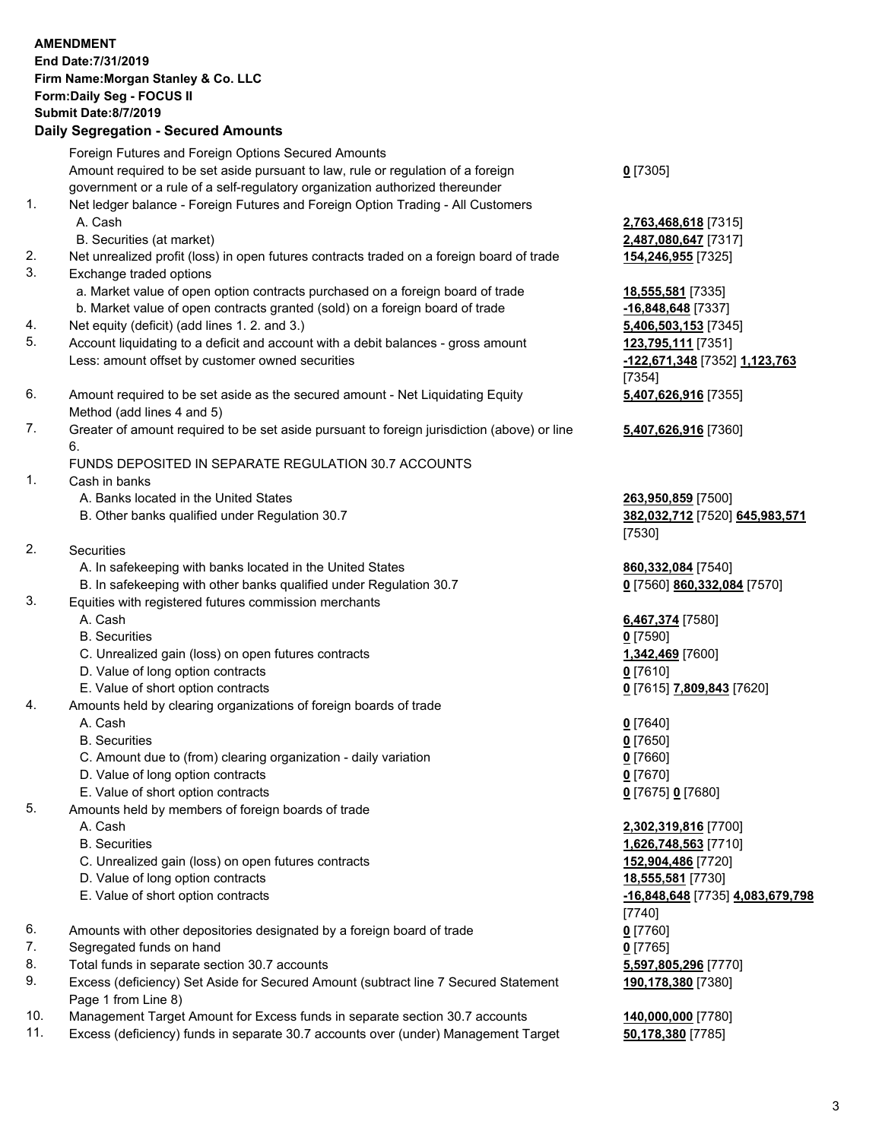|          | <b>AMENDMENT</b>                                                                                                                        |                                            |
|----------|-----------------------------------------------------------------------------------------------------------------------------------------|--------------------------------------------|
|          | End Date: 7/31/2019                                                                                                                     |                                            |
|          | Firm Name: Morgan Stanley & Co. LLC<br>Form: Daily Seg - FOCUS II                                                                       |                                            |
|          | <b>Submit Date:8/7/2019</b>                                                                                                             |                                            |
|          | <b>Daily Segregation - Secured Amounts</b>                                                                                              |                                            |
|          |                                                                                                                                         |                                            |
|          | Foreign Futures and Foreign Options Secured Amounts<br>Amount required to be set aside pursuant to law, rule or regulation of a foreign | $0$ [7305]                                 |
|          | government or a rule of a self-regulatory organization authorized thereunder                                                            |                                            |
| 1.       | Net ledger balance - Foreign Futures and Foreign Option Trading - All Customers                                                         |                                            |
|          | A. Cash                                                                                                                                 | 2,763,468,618 [7315]                       |
|          | B. Securities (at market)                                                                                                               | 2,487,080,647 [7317]                       |
| 2.       | Net unrealized profit (loss) in open futures contracts traded on a foreign board of trade                                               | <b>154,246,955</b> [7325]                  |
| 3.       | Exchange traded options                                                                                                                 |                                            |
|          | a. Market value of open option contracts purchased on a foreign board of trade                                                          | 18,555,581 [7335]                          |
|          | b. Market value of open contracts granted (sold) on a foreign board of trade                                                            | -16,848,648 [7337]                         |
| 4.       | Net equity (deficit) (add lines 1.2. and 3.)                                                                                            | 5,406,503,153 [7345]                       |
| 5.       | Account liquidating to a deficit and account with a debit balances - gross amount                                                       | 123,795,111 [7351]                         |
|          | Less: amount offset by customer owned securities                                                                                        | -122,671,348 [7352] 1,123,763              |
|          |                                                                                                                                         | $[7354]$                                   |
| 6.       | Amount required to be set aside as the secured amount - Net Liquidating Equity                                                          | 5,407,626,916 [7355]                       |
| 7.       | Method (add lines 4 and 5)<br>Greater of amount required to be set aside pursuant to foreign jurisdiction (above) or line               | 5,407,626,916 [7360]                       |
|          | 6.                                                                                                                                      |                                            |
|          | FUNDS DEPOSITED IN SEPARATE REGULATION 30.7 ACCOUNTS                                                                                    |                                            |
| 1.       | Cash in banks                                                                                                                           |                                            |
|          | A. Banks located in the United States                                                                                                   | 263,950,859 [7500]                         |
|          | B. Other banks qualified under Regulation 30.7                                                                                          | 382,032,712 [7520] 645,983,571             |
|          |                                                                                                                                         | [7530]                                     |
| 2.       | Securities                                                                                                                              |                                            |
|          | A. In safekeeping with banks located in the United States                                                                               | 860,332,084 [7540]                         |
|          | B. In safekeeping with other banks qualified under Regulation 30.7                                                                      | 0 [7560] 860,332,084 [7570]                |
| 3.       | Equities with registered futures commission merchants                                                                                   |                                            |
|          | A. Cash                                                                                                                                 | 6,467,374 [7580]                           |
|          | <b>B.</b> Securities<br>C. Unrealized gain (loss) on open futures contracts                                                             | $0$ [7590]<br>1,342,469 [7600]             |
|          | D. Value of long option contracts                                                                                                       | 0 [7610]                                   |
|          | E. Value of short option contracts                                                                                                      | 0 [7615] 7,809,843 [7620]                  |
| 4.       | Amounts held by clearing organizations of foreign boards of trade                                                                       |                                            |
|          | A. Cash                                                                                                                                 | $0$ [7640]                                 |
|          | <b>B.</b> Securities                                                                                                                    | $0$ [7650]                                 |
|          | C. Amount due to (from) clearing organization - daily variation                                                                         | $0$ [7660]                                 |
|          | D. Value of long option contracts                                                                                                       | $0$ [7670]                                 |
|          | E. Value of short option contracts                                                                                                      | 0 [7675] 0 [7680]                          |
| 5.       | Amounts held by members of foreign boards of trade                                                                                      |                                            |
|          | A. Cash                                                                                                                                 | 2,302,319,816 [7700]                       |
|          | <b>B.</b> Securities                                                                                                                    | 1,626,748,563 [7710]                       |
|          | C. Unrealized gain (loss) on open futures contracts                                                                                     | 152,904,486 [7720]                         |
|          | D. Value of long option contracts                                                                                                       | 18,555,581 [7730]                          |
|          | E. Value of short option contracts                                                                                                      | -16,848,648 [7735] 4,083,679,798           |
|          |                                                                                                                                         | [7740]                                     |
| 6.       | Amounts with other depositories designated by a foreign board of trade                                                                  | $0$ [7760]                                 |
| 7.<br>8. | Segregated funds on hand                                                                                                                | $0$ [7765]                                 |
| 9.       | Total funds in separate section 30.7 accounts<br>Excess (deficiency) Set Aside for Secured Amount (subtract line 7 Secured Statement    | 5,597,805,296 [7770]<br>190,178,380 [7380] |
|          | Page 1 from Line 8)                                                                                                                     |                                            |
| 10.      | Management Target Amount for Excess funds in separate section 30.7 accounts                                                             | 140,000,000 [7780]                         |
|          |                                                                                                                                         |                                            |

11. Excess (deficiency) funds in separate 30.7 accounts over (under) Management Target **50,178,380** [7785]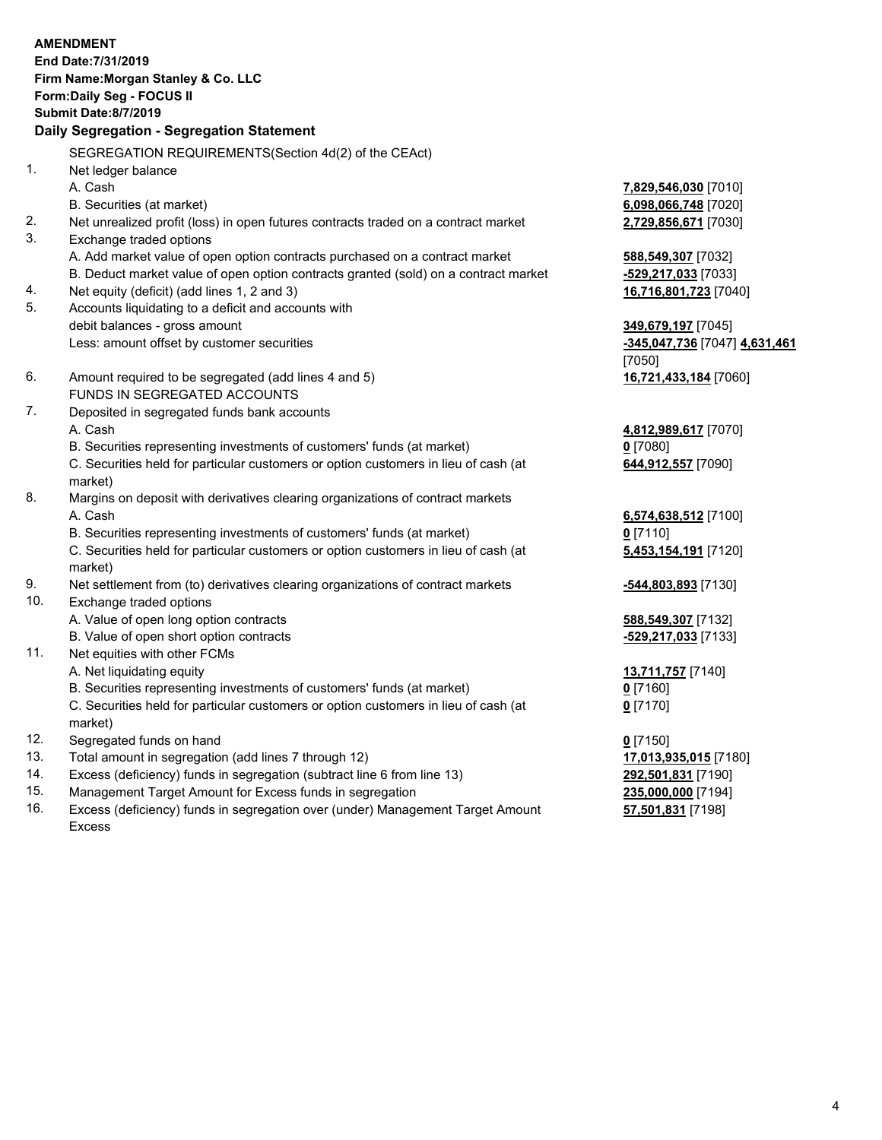|     | <b>AMENDMENT</b>                                                                          |                                    |
|-----|-------------------------------------------------------------------------------------------|------------------------------------|
|     | End Date: 7/31/2019                                                                       |                                    |
|     | Firm Name: Morgan Stanley & Co. LLC                                                       |                                    |
|     | Form: Daily Seg - FOCUS II                                                                |                                    |
|     | <b>Submit Date: 8/7/2019</b>                                                              |                                    |
|     | Daily Segregation - Segregation Statement                                                 |                                    |
|     | SEGREGATION REQUIREMENTS(Section 4d(2) of the CEAct)                                      |                                    |
| 1.  | Net ledger balance                                                                        |                                    |
|     | A. Cash                                                                                   | 7,829,546,030 [7010]               |
|     | B. Securities (at market)                                                                 | 6,098,066,748 [7020]               |
| 2.  | Net unrealized profit (loss) in open futures contracts traded on a contract market        | 2,729,856,671 [7030]               |
| 3.  | Exchange traded options                                                                   |                                    |
|     | A. Add market value of open option contracts purchased on a contract market               | 588,549,307 [7032]                 |
|     | B. Deduct market value of open option contracts granted (sold) on a contract market       | -529,217,033 [7033]                |
| 4.  | Net equity (deficit) (add lines 1, 2 and 3)                                               | 16,716,801,723 [7040]              |
| 5.  | Accounts liquidating to a deficit and accounts with                                       |                                    |
|     | debit balances - gross amount                                                             | 349,679,197 [7045]                 |
|     | Less: amount offset by customer securities                                                | -345,047,736 [7047] 4,631,461      |
|     |                                                                                           | [7050]                             |
| 6.  | Amount required to be segregated (add lines 4 and 5)                                      | 16,721,433,184 [7060]              |
|     | FUNDS IN SEGREGATED ACCOUNTS                                                              |                                    |
| 7.  | Deposited in segregated funds bank accounts                                               |                                    |
|     | A. Cash                                                                                   | 4,812,989,617 [7070]               |
|     | B. Securities representing investments of customers' funds (at market)                    | $0$ [7080]                         |
|     | C. Securities held for particular customers or option customers in lieu of cash (at       | 644,912,557 [7090]                 |
| 8.  | market)                                                                                   |                                    |
|     | Margins on deposit with derivatives clearing organizations of contract markets<br>A. Cash |                                    |
|     | B. Securities representing investments of customers' funds (at market)                    | 6,574,638,512 [7100]<br>$0$ [7110] |
|     | C. Securities held for particular customers or option customers in lieu of cash (at       | 5,453,154,191 [7120]               |
|     | market)                                                                                   |                                    |
| 9.  | Net settlement from (to) derivatives clearing organizations of contract markets           | -544,803,893 [7130]                |
| 10. | Exchange traded options                                                                   |                                    |
|     | A. Value of open long option contracts                                                    | 588,549,307 [7132]                 |
|     | B. Value of open short option contracts                                                   | -529,217,033 [7133]                |
| 11. | Net equities with other FCMs                                                              |                                    |
|     | A. Net liquidating equity                                                                 | 13,711,757 [7140]                  |
|     | B. Securities representing investments of customers' funds (at market)                    | $0$ [7160]                         |
|     | C. Securities held for particular customers or option customers in lieu of cash (at       | $0$ [7170]                         |
|     | market)                                                                                   |                                    |
| 12. | Segregated funds on hand                                                                  | $0$ [7150]                         |
| 13. | Total amount in segregation (add lines 7 through 12)                                      | 17,013,935,015 [7180]              |
| 14. | Excess (deficiency) funds in segregation (subtract line 6 from line 13)                   | 292,501,831 [7190]                 |

- 
- 15. Management Target Amount for Excess funds in segregation<br>16. Excess (deficiency) funds in segregation over (under) Management Target Amount **197,501,831** [7198] Excess (deficiency) funds in segregation over (under) Management Target Amount Excess

**57,501,831** [7198]